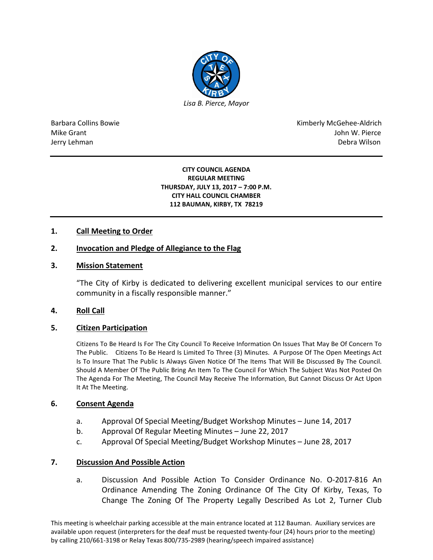

Barbara Collins Bowie **Kimberly McGehee-Aldrich** Mike Grant John W. Pierce Jerry Lehman Debra Wilson (2008) and the state of the state of the state of the state of the state of the state of the state of the state of the state of the state of the state of the state of the state of the state of the

#### **CITY COUNCIL AGENDA REGULAR MEETING THURSDAY, JULY 13, 2017 – 7:00 P.M. CITY HALL COUNCIL CHAMBER 112 BAUMAN, KIRBY, TX 78219**

# **1. Call Meeting to Order**

# **2. Invocation and Pledge of Allegiance to the Flag**

### **3. Mission Statement**

"The City of Kirby is dedicated to delivering excellent municipal services to our entire community in a fiscally responsible manner."

# **4. Roll Call**

### **5. Citizen Participation**

Citizens To Be Heard Is For The City Council To Receive Information On Issues That May Be Of Concern To The Public. Citizens To Be Heard Is Limited To Three (3) Minutes. A Purpose Of The Open Meetings Act Is To Insure That The Public Is Always Given Notice Of The Items That Will Be Discussed By The Council. Should A Member Of The Public Bring An Item To The Council For Which The Subject Was Not Posted On The Agenda For The Meeting, The Council May Receive The Information, But Cannot Discuss Or Act Upon It At The Meeting.

### **6. Consent Agenda**

- a. Approval Of Special Meeting/Budget Workshop Minutes June 14, 2017
- b. Approval Of Regular Meeting Minutes June 22, 2017
- c. Approval Of Special Meeting/Budget Workshop Minutes June 28, 2017

### **7. Discussion And Possible Action**

a. Discussion And Possible Action To Consider Ordinance No. O-2017-816 An Ordinance Amending The Zoning Ordinance Of The City Of Kirby, Texas, To Change The Zoning Of The Property Legally Described As Lot 2, Turner Club

This meeting is wheelchair parking accessible at the main entrance located at 112 Bauman. Auxiliary services are available upon request (interpreters for the deaf must be requested twenty-four (24) hours prior to the meeting) by calling 210/661-3198 or Relay Texas 800/735-2989 (hearing/speech impaired assistance)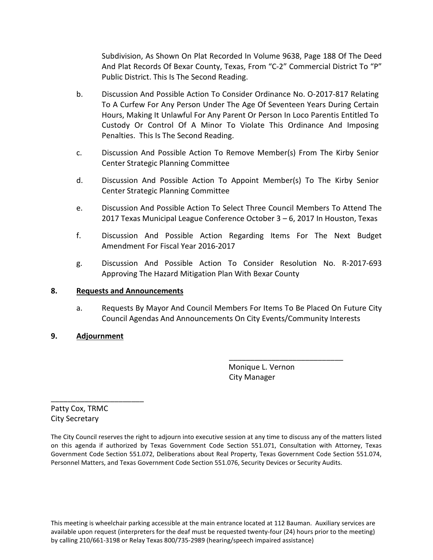Subdivision, As Shown On Plat Recorded In Volume 9638, Page 188 Of The Deed And Plat Records Of Bexar County, Texas, From "C-2" Commercial District To "P" Public District. This Is The Second Reading.

- b. Discussion And Possible Action To Consider Ordinance No. O-2017-817 Relating To A Curfew For Any Person Under The Age Of Seventeen Years During Certain Hours, Making It Unlawful For Any Parent Or Person In Loco Parentis Entitled To Custody Or Control Of A Minor To Violate This Ordinance And Imposing Penalties. This Is The Second Reading.
- c. Discussion And Possible Action To Remove Member(s) From The Kirby Senior Center Strategic Planning Committee
- d. Discussion And Possible Action To Appoint Member(s) To The Kirby Senior Center Strategic Planning Committee
- e. Discussion And Possible Action To Select Three Council Members To Attend The 2017 Texas Municipal League Conference October 3 – 6, 2017 In Houston, Texas
- f. Discussion And Possible Action Regarding Items For The Next Budget Amendment For Fiscal Year 2016-2017
- g. Discussion And Possible Action To Consider Resolution No. R-2017-693 Approving The Hazard Mitigation Plan With Bexar County

# **8. Requests and Announcements**

a. Requests By Mayor And Council Members For Items To Be Placed On Future City Council Agendas And Announcements On City Events/Community Interests

# **9. Adjournment**

 Monique L. Vernon City Manager

\_\_\_\_\_\_\_\_\_\_\_\_\_\_\_\_\_\_\_\_\_\_\_\_\_\_\_

Patty Cox, TRMC City Secretary

\_\_\_\_\_\_\_\_\_\_\_\_\_\_\_\_\_\_\_\_\_\_

The City Council reserves the right to adjourn into executive session at any time to discuss any of the matters listed on this agenda if authorized by Texas Government Code Section 551.071, Consultation with Attorney, Texas Government Code Section 551.072, Deliberations about Real Property, Texas Government Code Section 551.074, Personnel Matters, and Texas Government Code Section 551.076, Security Devices or Security Audits.

This meeting is wheelchair parking accessible at the main entrance located at 112 Bauman. Auxiliary services are available upon request (interpreters for the deaf must be requested twenty-four (24) hours prior to the meeting) by calling 210/661-3198 or Relay Texas 800/735-2989 (hearing/speech impaired assistance)